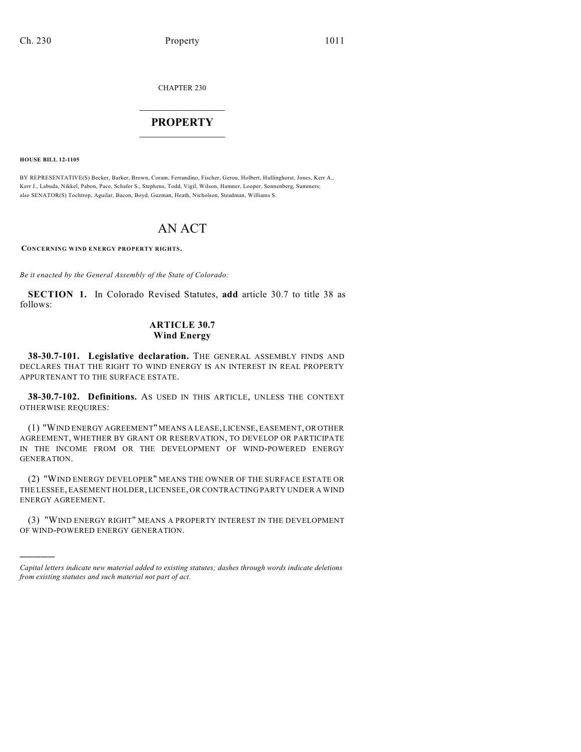CHAPTER 230

## $\mathcal{L}_\text{max}$  . The set of the set of the set of the set of the set of the set of the set of the set of the set of the set of the set of the set of the set of the set of the set of the set of the set of the set of the set **PROPERTY**  $\_$   $\_$   $\_$   $\_$   $\_$   $\_$   $\_$   $\_$   $\_$

**HOUSE BILL 12-1105**

)))))

BY REPRESENTATIVE(S) Becker, Barker, Brown, Coram, Ferrandino, Fischer, Gerou, Holbert, Hullinghorst, Jones, Kerr A., Kerr J., Labuda, Nikkel, Pabon, Pace, Schafer S., Stephens, Todd, Vigil, Wilson, Hamner, Looper, Sonnenberg, Summers; also SENATOR(S) Tochtrop, Aguilar, Bacon, Boyd, Guzman, Heath, Nicholson, Steadman, Williams S.

## AN ACT

**CONCERNING WIND ENERGY PROPERTY RIGHTS.**

*Be it enacted by the General Assembly of the State of Colorado:*

**SECTION 1.** In Colorado Revised Statutes, **add** article 30.7 to title 38 as follows:

## **ARTICLE 30.7 Wind Energy**

**38-30.7-101. Legislative declaration.** THE GENERAL ASSEMBLY FINDS AND DECLARES THAT THE RIGHT TO WIND ENERGY IS AN INTEREST IN REAL PROPERTY APPURTENANT TO THE SURFACE ESTATE.

**38-30.7-102. Definitions.** AS USED IN THIS ARTICLE, UNLESS THE CONTEXT OTHERWISE REQUIRES:

(1) "WIND ENERGY AGREEMENT" MEANS A LEASE, LICENSE, EASEMENT, OR OTHER AGREEMENT, WHETHER BY GRANT OR RESERVATION, TO DEVELOP OR PARTICIPATE IN THE INCOME FROM OR THE DEVELOPMENT OF WIND-POWERED ENERGY GENERATION.

(2) "WIND ENERGY DEVELOPER" MEANS THE OWNER OF THE SURFACE ESTATE OR THE LESSEE, EASEMENT HOLDER, LICENSEE, OR CONTRACTING PARTY UNDER A WIND ENERGY AGREEMENT.

(3) "WIND ENERGY RIGHT" MEANS A PROPERTY INTEREST IN THE DEVELOPMENT OF WIND-POWERED ENERGY GENERATION.

*Capital letters indicate new material added to existing statutes; dashes through words indicate deletions from existing statutes and such material not part of act.*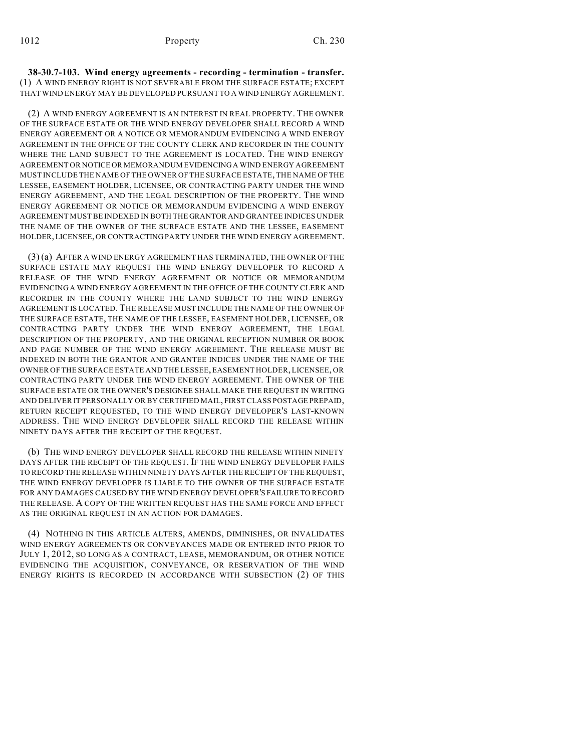**38-30.7-103. Wind energy agreements - recording - termination - transfer.** (1) A WIND ENERGY RIGHT IS NOT SEVERABLE FROM THE SURFACE ESTATE; EXCEPT THAT WIND ENERGY MAY BE DEVELOPED PURSUANT TO A WIND ENERGY AGREEMENT.

(2) A WIND ENERGY AGREEMENT IS AN INTEREST IN REAL PROPERTY. THE OWNER OF THE SURFACE ESTATE OR THE WIND ENERGY DEVELOPER SHALL RECORD A WIND ENERGY AGREEMENT OR A NOTICE OR MEMORANDUM EVIDENCING A WIND ENERGY AGREEMENT IN THE OFFICE OF THE COUNTY CLERK AND RECORDER IN THE COUNTY WHERE THE LAND SUBJECT TO THE AGREEMENT IS LOCATED. THE WIND ENERGY AGREEMENT OR NOTICE OR MEMORANDUM EVIDENCINGA WIND ENERGY AGREEMENT MUST INCLUDE THE NAME OF THE OWNER OF THE SURFACE ESTATE, THE NAME OF THE LESSEE, EASEMENT HOLDER, LICENSEE, OR CONTRACTING PARTY UNDER THE WIND ENERGY AGREEMENT, AND THE LEGAL DESCRIPTION OF THE PROPERTY. THE WIND ENERGY AGREEMENT OR NOTICE OR MEMORANDUM EVIDENCING A WIND ENERGY AGREEMENT MUST BE INDEXED IN BOTH THE GRANTOR AND GRANTEE INDICES UNDER THE NAME OF THE OWNER OF THE SURFACE ESTATE AND THE LESSEE, EASEMENT HOLDER, LICENSEE, OR CONTRACTING PARTY UNDER THE WIND ENERGY AGREEMENT.

(3) (a) AFTER A WIND ENERGY AGREEMENT HAS TERMINATED, THE OWNER OF THE SURFACE ESTATE MAY REQUEST THE WIND ENERGY DEVELOPER TO RECORD A RELEASE OF THE WIND ENERGY AGREEMENT OR NOTICE OR MEMORANDUM EVIDENCING A WIND ENERGY AGREEMENT IN THE OFFICE OF THE COUNTY CLERK AND RECORDER IN THE COUNTY WHERE THE LAND SUBJECT TO THE WIND ENERGY AGREEMENT IS LOCATED. THE RELEASE MUST INCLUDE THE NAME OF THE OWNER OF THE SURFACE ESTATE, THE NAME OF THE LESSEE, EASEMENT HOLDER, LICENSEE, OR CONTRACTING PARTY UNDER THE WIND ENERGY AGREEMENT, THE LEGAL DESCRIPTION OF THE PROPERTY, AND THE ORIGINAL RECEPTION NUMBER OR BOOK AND PAGE NUMBER OF THE WIND ENERGY AGREEMENT. THE RELEASE MUST BE INDEXED IN BOTH THE GRANTOR AND GRANTEE INDICES UNDER THE NAME OF THE OWNER OF THE SURFACE ESTATE AND THE LESSEE, EASEMENT HOLDER, LICENSEE, OR CONTRACTING PARTY UNDER THE WIND ENERGY AGREEMENT. THE OWNER OF THE SURFACE ESTATE OR THE OWNER'S DESIGNEE SHALL MAKE THE REQUEST IN WRITING AND DELIVER IT PERSONALLY OR BY CERTIFIED MAIL, FIRST CLASS POSTAGE PREPAID, RETURN RECEIPT REQUESTED, TO THE WIND ENERGY DEVELOPER'S LAST-KNOWN ADDRESS. THE WIND ENERGY DEVELOPER SHALL RECORD THE RELEASE WITHIN NINETY DAYS AFTER THE RECEIPT OF THE REQUEST.

(b) THE WIND ENERGY DEVELOPER SHALL RECORD THE RELEASE WITHIN NINETY DAYS AFTER THE RECEIPT OF THE REQUEST. IF THE WIND ENERGY DEVELOPER FAILS TO RECORD THE RELEASE WITHIN NINETY DAYS AFTER THE RECEIPT OF THE REQUEST, THE WIND ENERGY DEVELOPER IS LIABLE TO THE OWNER OF THE SURFACE ESTATE FOR ANY DAMAGES CAUSED BY THE WIND ENERGY DEVELOPER'S FAILURE TO RECORD THE RELEASE. A COPY OF THE WRITTEN REQUEST HAS THE SAME FORCE AND EFFECT AS THE ORIGINAL REQUEST IN AN ACTION FOR DAMAGES.

(4) NOTHING IN THIS ARTICLE ALTERS, AMENDS, DIMINISHES, OR INVALIDATES WIND ENERGY AGREEMENTS OR CONVEYANCES MADE OR ENTERED INTO PRIOR TO JULY 1, 2012, SO LONG AS A CONTRACT, LEASE, MEMORANDUM, OR OTHER NOTICE EVIDENCING THE ACQUISITION, CONVEYANCE, OR RESERVATION OF THE WIND ENERGY RIGHTS IS RECORDED IN ACCORDANCE WITH SUBSECTION (2) OF THIS